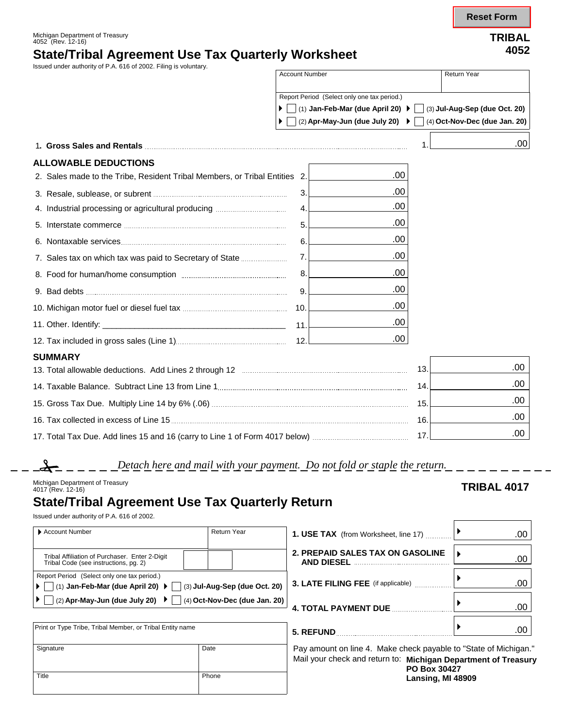**Reset Form**

Michigan Department of Treasury 4052 (Rev. 12-16) **TRIBAL**

# **State/Tribal Agreement Use Tax Quarterly Worksheet <sup>4052</sup>**

Issued under authority of P.A. 616 of 2002. Filing is voluntary.

| issued ander additionly on Fig. or or Zooz. I lilliy is voluntar                                                                                                                                                               | <b>Account Number</b> |                                                     | <b>Return Year</b>            |  |
|--------------------------------------------------------------------------------------------------------------------------------------------------------------------------------------------------------------------------------|-----------------------|-----------------------------------------------------|-------------------------------|--|
|                                                                                                                                                                                                                                |                       | Report Period (Select only one tax period.)         |                               |  |
|                                                                                                                                                                                                                                |                       | (1) Jan-Feb-Mar (due April 20) ▶ $\vert$            | (3) Jul-Aug-Sep (due Oct. 20) |  |
|                                                                                                                                                                                                                                |                       | (2) Apr-May-Jun (due July 20) $\blacktriangleright$ | (4) Oct-Nov-Dec (due Jan. 20) |  |
| 1. Gross Sales and Rentals and the same of the same of the same of the same of the same of the same of the same of the same of the same of the same of the same of the same of the same of the same of the same of the same of |                       |                                                     | .001                          |  |
| <b>ALLOWABLE DEDUCTIONS</b>                                                                                                                                                                                                    |                       |                                                     |                               |  |
| 2. Sales made to the Tribe, Resident Tribal Members, or Tribal Entities 2.                                                                                                                                                     |                       | .00                                                 |                               |  |
|                                                                                                                                                                                                                                | 3.                    | .00                                                 |                               |  |
|                                                                                                                                                                                                                                | 4.                    | .00                                                 |                               |  |
|                                                                                                                                                                                                                                | 5.                    | .00                                                 |                               |  |
|                                                                                                                                                                                                                                | 6.                    | .00                                                 |                               |  |
|                                                                                                                                                                                                                                | 7.                    | .00                                                 |                               |  |
|                                                                                                                                                                                                                                | 8.                    | .00                                                 |                               |  |
|                                                                                                                                                                                                                                | 9.                    | .00                                                 |                               |  |
|                                                                                                                                                                                                                                | 10.                   | .00                                                 |                               |  |
|                                                                                                                                                                                                                                | 11                    | .00                                                 |                               |  |
|                                                                                                                                                                                                                                | 12.                   | .00                                                 |                               |  |
| <b>SUMMARY</b>                                                                                                                                                                                                                 |                       |                                                     |                               |  |
|                                                                                                                                                                                                                                |                       |                                                     | .00.                          |  |
|                                                                                                                                                                                                                                |                       |                                                     | .00                           |  |
|                                                                                                                                                                                                                                |                       |                                                     | .00                           |  |
|                                                                                                                                                                                                                                |                       |                                                     | .00                           |  |
|                                                                                                                                                                                                                                |                       |                                                     | .00                           |  |

*Detach here and mail with your payment. Do not fold or staple the return.*

## **State/Tribal Agreement Use Tax Quarterly Return**

Issued under authority of P.A. 616 of 2002.

| Account Number                                                                                                                           | Return Year | <b>1. USE TAX</b> (from Worksheet, line 17) | .00 |
|------------------------------------------------------------------------------------------------------------------------------------------|-------------|---------------------------------------------|-----|
| Tribal Affiliation of Purchaser. Enter 2-Digit<br>Tribal Code (see instructions, pg. 2)                                                  |             | 2. PREPAID SALES TAX ON GASOLINE            | .00 |
| Report Period (Select only one tax period.)<br>(1) Jan-Feb-Mar (due April 20) $\blacktriangleright$ $\Box$ (3) Jul-Aug-Sep (due Oct. 20) |             | <b>3. LATE FILING FEE</b> (if applicable)   | .00 |
| (2) Apr-May-Jun (due July 20) $\mathbf{P} \mid (4)$ Oct-Nov-Dec (due Jan. 20)                                                            |             | <b>4. TOTAL PAYMENT DUE</b>                 | .00 |

| Print or Type Tribe, Tribal Member, or Tribal Entity name |       |
|-----------------------------------------------------------|-------|
| Signature                                                 | Date  |
| Title                                                     | Phone |

# Print or Type Tribe, Tribal Member, or Tribal Entity name **5. RE FUND** .00

Pay amount on line 4. Make check payable to "State of Michigan." Mail your check and return to: **Michigan Department of Treasury PO Box 30427 Lansing, MI 48909** 

Michigan Department of Treasury<br>4017 (Rev. 12-16) **TRIBAL 4017**